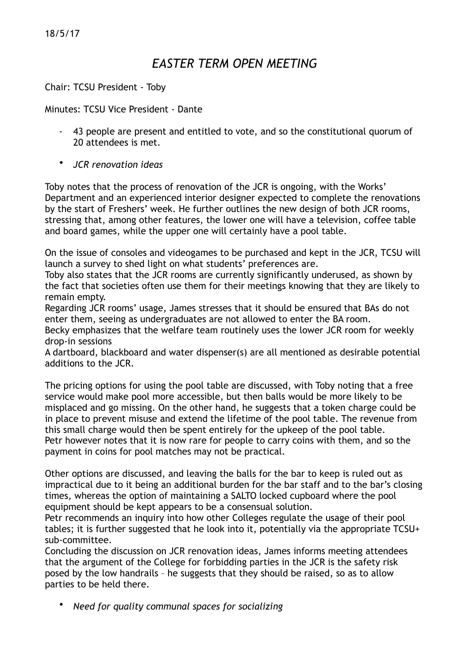18/5/17

## *EASTER TERM OPEN MEETING*

Chair: TCSU President - Toby

Minutes: TCSU Vice President - Dante

- 43 people are present and entitled to vote, and so the constitutional quorum of 20 attendees is met.
- *JCR renovation ideas*

Toby notes that the process of renovation of the JCR is ongoing, with the Works' Department and an experienced interior designer expected to complete the renovations by the start of Freshers' week. He further outlines the new design of both JCR rooms, stressing that, among other features, the lower one will have a television, coffee table and board games, while the upper one will certainly have a pool table.

On the issue of consoles and videogames to be purchased and kept in the JCR, TCSU will launch a survey to shed light on what students' preferences are.

Toby also states that the JCR rooms are currently significantly underused, as shown by the fact that societies often use them for their meetings knowing that they are likely to remain empty.

Regarding JCR rooms' usage, James stresses that it should be ensured that BAs do not enter them, seeing as undergraduates are not allowed to enter the BA room.

Becky emphasizes that the welfare team routinely uses the lower JCR room for weekly drop-in sessions

A dartboard, blackboard and water dispenser(s) are all mentioned as desirable potential additions to the JCR.

The pricing options for using the pool table are discussed, with Toby noting that a free service would make pool more accessible, but then balls would be more likely to be misplaced and go missing. On the other hand, he suggests that a token charge could be in place to prevent misuse and extend the lifetime of the pool table. The revenue from this small charge would then be spent entirely for the upkeep of the pool table. Petr however notes that it is now rare for people to carry coins with them, and so the payment in coins for pool matches may not be practical.

Other options are discussed, and leaving the balls for the bar to keep is ruled out as impractical due to it being an additional burden for the bar staff and to the bar's closing times, whereas the option of maintaining a SALTO locked cupboard where the pool equipment should be kept appears to be a consensual solution.

Petr recommends an inquiry into how other Colleges regulate the usage of their pool tables; it is further suggested that he look into it, potentially via the appropriate TCSU+ sub-committee.

Concluding the discussion on JCR renovation ideas, James informs meeting attendees that the argument of the College for forbidding parties in the JCR is the safety risk posed by the low handrails – he suggests that they should be raised, so as to allow parties to be held there.

• *Need for quality communal spaces for socializing*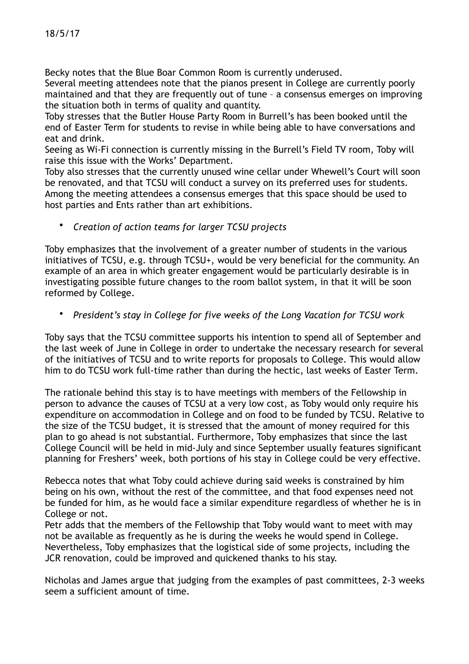Becky notes that the Blue Boar Common Room is currently underused.

Several meeting attendees note that the pianos present in College are currently poorly maintained and that they are frequently out of tune – a consensus emerges on improving the situation both in terms of quality and quantity.

Toby stresses that the Butler House Party Room in Burrell's has been booked until the end of Easter Term for students to revise in while being able to have conversations and eat and drink.

Seeing as Wi-Fi connection is currently missing in the Burrell's Field TV room, Toby will raise this issue with the Works' Department.

Toby also stresses that the currently unused wine cellar under Whewell's Court will soon be renovated, and that TCSU will conduct a survey on its preferred uses for students. Among the meeting attendees a consensus emerges that this space should be used to host parties and Ents rather than art exhibitions.

• *Creation of action teams for larger TCSU projects* 

Toby emphasizes that the involvement of a greater number of students in the various initiatives of TCSU, e.g. through TCSU+, would be very beneficial for the community. An example of an area in which greater engagement would be particularly desirable is in investigating possible future changes to the room ballot system, in that it will be soon reformed by College.

• *President's stay in College for five weeks of the Long Vacation for TCSU work* 

Toby says that the TCSU committee supports his intention to spend all of September and the last week of June in College in order to undertake the necessary research for several of the initiatives of TCSU and to write reports for proposals to College. This would allow him to do TCSU work full-time rather than during the hectic, last weeks of Easter Term.

The rationale behind this stay is to have meetings with members of the Fellowship in person to advance the causes of TCSU at a very low cost, as Toby would only require his expenditure on accommodation in College and on food to be funded by TCSU. Relative to the size of the TCSU budget, it is stressed that the amount of money required for this plan to go ahead is not substantial. Furthermore, Toby emphasizes that since the last College Council will be held in mid-July and since September usually features significant planning for Freshers' week, both portions of his stay in College could be very effective.

Rebecca notes that what Toby could achieve during said weeks is constrained by him being on his own, without the rest of the committee, and that food expenses need not be funded for him, as he would face a similar expenditure regardless of whether he is in College or not.

Petr adds that the members of the Fellowship that Toby would want to meet with may not be available as frequently as he is during the weeks he would spend in College. Nevertheless, Toby emphasizes that the logistical side of some projects, including the JCR renovation, could be improved and quickened thanks to his stay.

Nicholas and James argue that judging from the examples of past committees, 2-3 weeks seem a sufficient amount of time.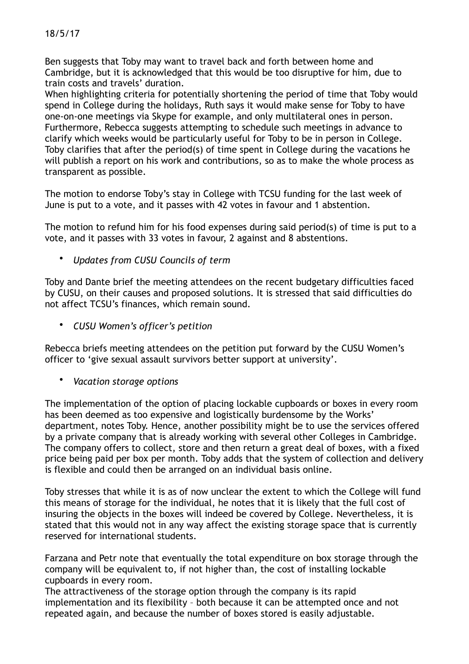Ben suggests that Toby may want to travel back and forth between home and Cambridge, but it is acknowledged that this would be too disruptive for him, due to train costs and travels' duration.

When highlighting criteria for potentially shortening the period of time that Toby would spend in College during the holidays, Ruth says it would make sense for Toby to have one-on-one meetings via Skype for example, and only multilateral ones in person. Furthermore, Rebecca suggests attempting to schedule such meetings in advance to clarify which weeks would be particularly useful for Toby to be in person in College. Toby clarifies that after the period(s) of time spent in College during the vacations he will publish a report on his work and contributions, so as to make the whole process as transparent as possible.

The motion to endorse Toby's stay in College with TCSU funding for the last week of June is put to a vote, and it passes with 42 votes in favour and 1 abstention.

The motion to refund him for his food expenses during said period(s) of time is put to a vote, and it passes with 33 votes in favour, 2 against and 8 abstentions.

• *Updates from CUSU Councils of term* 

Toby and Dante brief the meeting attendees on the recent budgetary difficulties faced by CUSU, on their causes and proposed solutions. It is stressed that said difficulties do not affect TCSU's finances, which remain sound.

• *CUSU Women's officer's petition* 

Rebecca briefs meeting attendees on the petition put forward by the CUSU Women's officer to 'give sexual assault survivors better support at university'.

• *Vacation storage options* 

The implementation of the option of placing lockable cupboards or boxes in every room has been deemed as too expensive and logistically burdensome by the Works' department, notes Toby. Hence, another possibility might be to use the services offered by a private company that is already working with several other Colleges in Cambridge. The company offers to collect, store and then return a great deal of boxes, with a fixed price being paid per box per month. Toby adds that the system of collection and delivery is flexible and could then be arranged on an individual basis online.

Toby stresses that while it is as of now unclear the extent to which the College will fund this means of storage for the individual, he notes that it is likely that the full cost of insuring the objects in the boxes will indeed be covered by College. Nevertheless, it is stated that this would not in any way affect the existing storage space that is currently reserved for international students.

Farzana and Petr note that eventually the total expenditure on box storage through the company will be equivalent to, if not higher than, the cost of installing lockable cupboards in every room.

The attractiveness of the storage option through the company is its rapid implementation and its flexibility – both because it can be attempted once and not repeated again, and because the number of boxes stored is easily adjustable.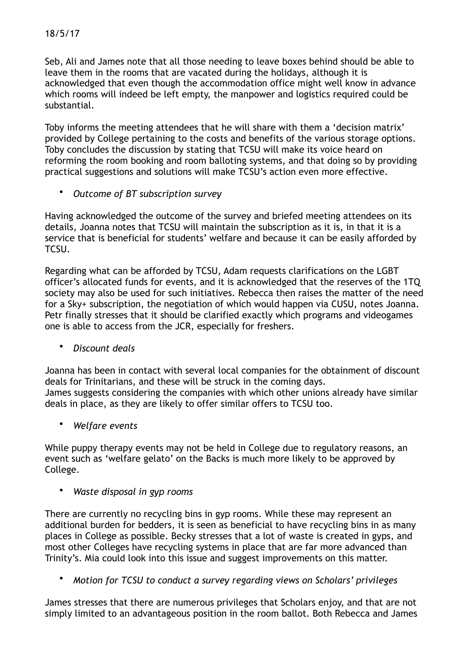Seb, Ali and James note that all those needing to leave boxes behind should be able to leave them in the rooms that are vacated during the holidays, although it is acknowledged that even though the accommodation office might well know in advance which rooms will indeed be left empty, the manpower and logistics required could be substantial.

Toby informs the meeting attendees that he will share with them a 'decision matrix' provided by College pertaining to the costs and benefits of the various storage options. Toby concludes the discussion by stating that TCSU will make its voice heard on reforming the room booking and room balloting systems, and that doing so by providing practical suggestions and solutions will make TCSU's action even more effective.

• *Outcome of BT subscription survey* 

Having acknowledged the outcome of the survey and briefed meeting attendees on its details, Joanna notes that TCSU will maintain the subscription as it is, in that it is a service that is beneficial for students' welfare and because it can be easily afforded by TCSU.

Regarding what can be afforded by TCSU, Adam requests clarifications on the LGBT officer's allocated funds for events, and it is acknowledged that the reserves of the 1TQ society may also be used for such initiatives. Rebecca then raises the matter of the need for a Sky+ subscription, the negotiation of which would happen via CUSU, notes Joanna. Petr finally stresses that it should be clarified exactly which programs and videogames one is able to access from the JCR, especially for freshers.

• *Discount deals* 

Joanna has been in contact with several local companies for the obtainment of discount deals for Trinitarians, and these will be struck in the coming days. James suggests considering the companies with which other unions already have similar deals in place, as they are likely to offer similar offers to TCSU too.

• *Welfare events* 

While puppy therapy events may not be held in College due to regulatory reasons, an event such as 'welfare gelato' on the Backs is much more likely to be approved by College.

## • *Waste disposal in gyp rooms*

There are currently no recycling bins in gyp rooms. While these may represent an additional burden for bedders, it is seen as beneficial to have recycling bins in as many places in College as possible. Becky stresses that a lot of waste is created in gyps, and most other Colleges have recycling systems in place that are far more advanced than Trinity's. Mia could look into this issue and suggest improvements on this matter.

• *Motion for TCSU to conduct a survey regarding views on Scholars' privileges* 

James stresses that there are numerous privileges that Scholars enjoy, and that are not simply limited to an advantageous position in the room ballot. Both Rebecca and James